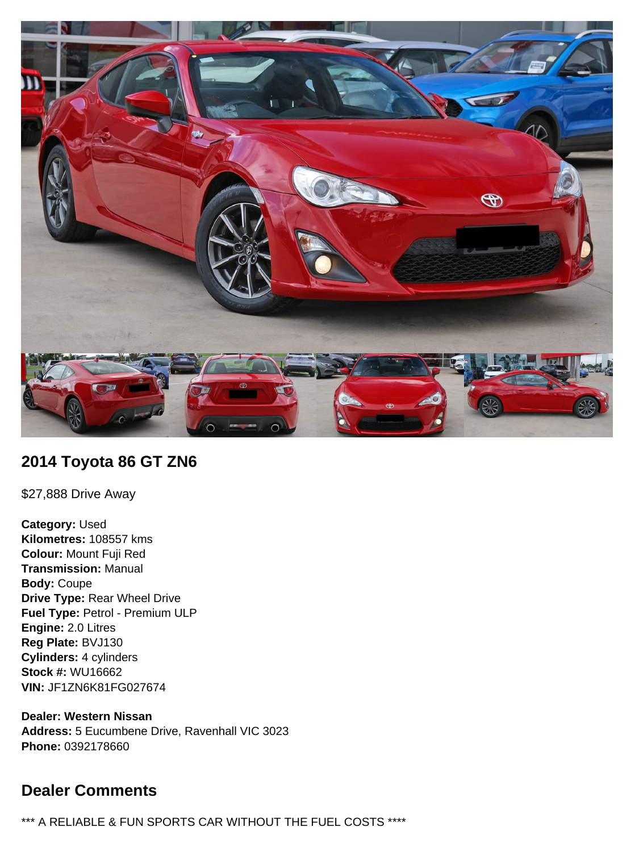

## **2014 Toyota 86 GT ZN6**

\$27,888 Drive Away

**Category:** Used **Kilometres:** 108557 kms **Colour:** Mount Fuji Red **Transmission:** Manual **Body:** Coupe **Drive Type:** Rear Wheel Drive **Fuel Type:** Petrol - Premium ULP **Engine:** 2.0 Litres **Reg Plate:** BVJ130 **Cylinders:** 4 cylinders **Stock #:** WU16662 **VIN:** JF1ZN6K81FG027674

**Dealer: Western Nissan Address:** 5 Eucumbene Drive, Ravenhall VIC 3023 **Phone:** 0392178660

# **Dealer Comments**

\*\*\* A RELIABLE & FUN SPORTS CAR WITHOUT THE FUEL COSTS \*\*\*\*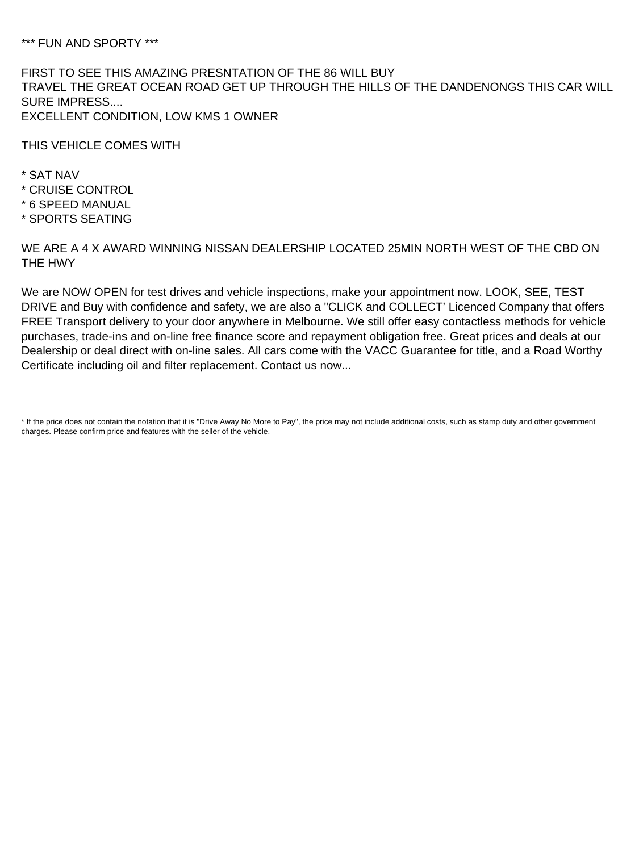\*\*\* FUN AND SPORTY \*\*\*

FIRST TO SEE THIS AMAZING PRESNTATION OF THE 86 WILL BUY TRAVEL THE GREAT OCEAN ROAD GET UP THROUGH THE HILLS OF THE DANDENONGS THIS CAR WILL SURE IMPRESS.... EXCELLENT CONDITION, LOW KMS 1 OWNER

THIS VEHICLE COMES WITH

- \* SAT NAV
- \* CRUISE CONTROL
- \* 6 SPEED MANUAL
- \* SPORTS SEATING

WE ARE A 4 X AWARD WINNING NISSAN DEALERSHIP LOCATED 25MIN NORTH WEST OF THE CBD ON THE HWY

We are NOW OPEN for test drives and vehicle inspections, make your appointment now. LOOK, SEE, TEST DRIVE and Buy with confidence and safety, we are also a "CLICK and COLLECT' Licenced Company that offers FREE Transport delivery to your door anywhere in Melbourne. We still offer easy contactless methods for vehicle purchases, trade-ins and on-line free finance score and repayment obligation free. Great prices and deals at our Dealership or deal direct with on-line sales. All cars come with the VACC Guarantee for title, and a Road Worthy Certificate including oil and filter replacement. Contact us now...

\* If the price does not contain the notation that it is "Drive Away No More to Pay", the price may not include additional costs, such as stamp duty and other government charges. Please confirm price and features with the seller of the vehicle.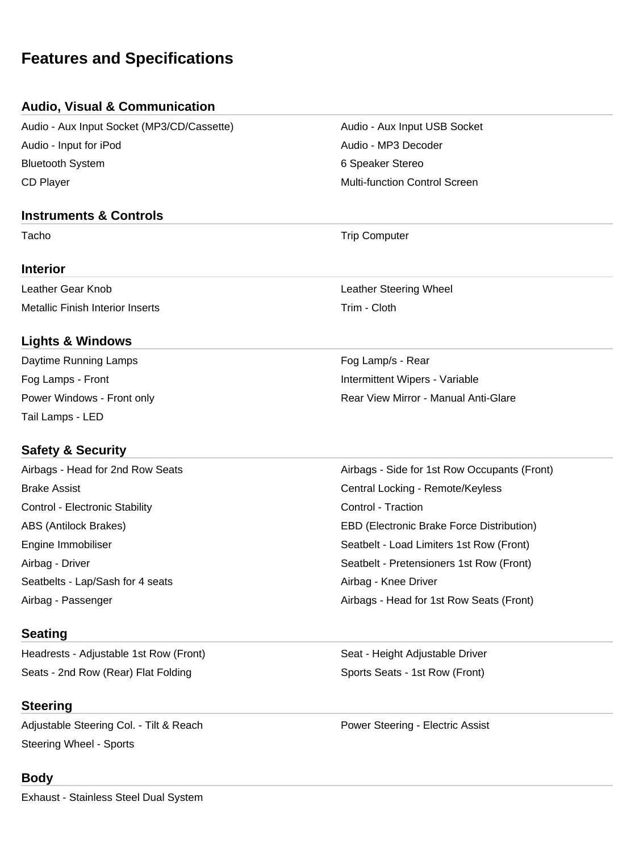# **Features and Specifications**

#### **Audio, Visual & Communication**

Audio - Aux Input Socket (MP3/CD/Cassette) Audio - Aux Input USB Socket Audio - Input for iPod Audio - MP3 Decoder Bluetooth System **6 Speaker Stereo** 6 Speaker Stereo CD Player **Multi-function Control Screen** Multi-function Control Screen

#### **Instruments & Controls**

#### **Interior**

Metallic Finish Interior Inserts Trim - Cloth

#### **Lights & Windows**

Daytime Running Lamps Fog Lamp/s - Rear Tail Lamps - LED

### **Safety & Security**

Airbags - Head for 2nd Row Seats Airbags - Side for 1st Row Occupants (Front) Brake Assist Central Locking - Remote/Keyless Control - Electronic Stability Control - Traction ABS (Antilock Brakes) EBD (Electronic Brake Force Distribution) Engine Immobiliser Seatbelt - Load Limiters 1st Row (Front) Airbag - Driver Seatbelt - Pretensioners 1st Row (Front) Seatbelts - Lap/Sash for 4 seats Airbag - Knee Driver Airbag - Passenger Airbags - Head for 1st Row Seats (Front)

#### **Seating**

Headrests - Adjustable 1st Row (Front) Seat - Height Adjustable Driver Seats - 2nd Row (Rear) Flat Folding Sports Seats - 1st Row (Front)

### **Steering**

Adjustable Steering Col. - Tilt & Reach Power Steering - Electric Assist Steering Wheel - Sports

### **Body**

Exhaust - Stainless Steel Dual System

Tacho **Trip Computer** Trip Computer

Leather Gear Knob Leather Steering Wheel

Fog Lamps - Front **Intermittent Wipers** - Variable Power Windows - Front only **Rear View Mirror - Manual Anti-Glare**